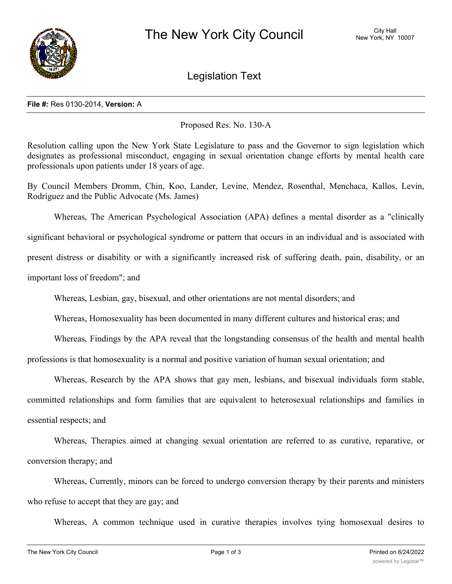

Legislation Text

## **File #:** Res 0130-2014, **Version:** A

Proposed Res. No. 130-A

Resolution calling upon the New York State Legislature to pass and the Governor to sign legislation which designates as professional misconduct, engaging in sexual orientation change efforts by mental health care professionals upon patients under 18 years of age.

By Council Members Dromm, Chin, Koo, Lander, Levine, Mendez, Rosenthal, Menchaca, Kallos, Levin, Rodriguez and the Public Advocate (Ms. James)

Whereas, The American Psychological Association (APA) defines a mental disorder as a "clinically significant behavioral or psychological syndrome or pattern that occurs in an individual and is associated with present distress or disability or with a significantly increased risk of suffering death, pain, disability, or an important loss of freedom"; and

Whereas, Lesbian, gay, bisexual, and other orientations are not mental disorders; and

Whereas, Homosexuality has been documented in many different cultures and historical eras; and

Whereas, Findings by the APA reveal that the longstanding consensus of the health and mental health

professions is that homosexuality is a normal and positive variation of human sexual orientation; and

Whereas, Research by the APA shows that gay men, lesbians, and bisexual individuals form stable, committed relationships and form families that are equivalent to heterosexual relationships and families in essential respects; and

Whereas, Therapies aimed at changing sexual orientation are referred to as curative, reparative, or conversion therapy; and

Whereas, Currently, minors can be forced to undergo conversion therapy by their parents and ministers who refuse to accept that they are gay; and

Whereas, A common technique used in curative therapies involves tying homosexual desires to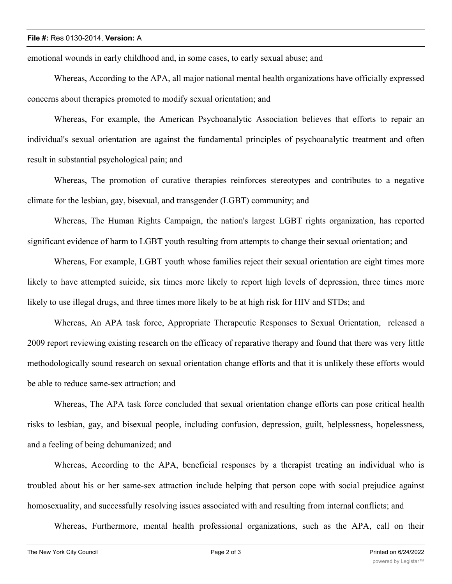## **File #:** Res 0130-2014, **Version:** A

emotional wounds in early childhood and, in some cases, to early sexual abuse; and

Whereas, According to the APA, all major national mental health organizations have officially expressed concerns about therapies promoted to modify sexual orientation; and

Whereas, For example, the American Psychoanalytic Association believes that efforts to repair an individual's sexual orientation are against the fundamental principles of psychoanalytic treatment and often result in substantial psychological pain; and

Whereas, The promotion of curative therapies reinforces stereotypes and contributes to a negative climate for the lesbian, gay, bisexual, and transgender (LGBT) community; and

Whereas, The Human Rights Campaign, the nation's largest LGBT rights organization, has reported significant evidence of harm to LGBT youth resulting from attempts to change their sexual orientation; and

Whereas, For example, LGBT youth whose families reject their sexual orientation are eight times more likely to have attempted suicide, six times more likely to report high levels of depression, three times more likely to use illegal drugs, and three times more likely to be at high risk for HIV and STDs; and

Whereas, An APA task force, Appropriate Therapeutic Responses to Sexual Orientation, released a 2009 report reviewing existing research on the efficacy of reparative therapy and found that there was very little methodologically sound research on sexual orientation change efforts and that it is unlikely these efforts would be able to reduce same-sex attraction; and

Whereas, The APA task force concluded that sexual orientation change efforts can pose critical health risks to lesbian, gay, and bisexual people, including confusion, depression, guilt, helplessness, hopelessness, and a feeling of being dehumanized; and

Whereas, According to the APA, beneficial responses by a therapist treating an individual who is troubled about his or her same-sex attraction include helping that person cope with social prejudice against homosexuality, and successfully resolving issues associated with and resulting from internal conflicts; and

Whereas, Furthermore, mental health professional organizations, such as the APA, call on their